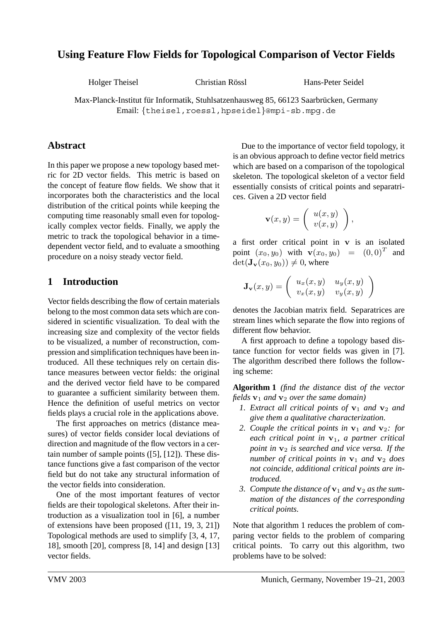# **Using Feature Flow Fields for Topological Comparison of Vector Fields**

Holger Theisel Christian Rossl Hans-Peter Seidel ¨

Max-Planck-Institut für Informatik, Stuhlsatzenhausweg 85, 66123 Saarbrücken, Germany Email: {theisel,roessl,hpseidel}@mpi-sb.mpg.de

## **Abstract**

In this paper we propose a new topology based metric for 2D vector fields. This metric is based on the concept of feature flow fields. We show that it incorporates both the characteristics and the local distribution of the critical points while keeping the computing time reasonably small even for topologically complex vector fields. Finally, we apply the metric to track the topological behavior in a timedependent vector field, and to evaluate a smoothing procedure on a noisy steady vector field.

## **1 Introduction**

Vector fields describing the flow of certain materials belong to the most common data sets which are considered in scientific visualization. To deal with the increasing size and complexity of the vector fields to be visualized, a number of reconstruction, compression and simplification techniques have been introduced. All these techniques rely on certain distance measures between vector fields: the original and the derived vector field have to be compared to guarantee a sufficient similarity between them. Hence the definition of useful metrics on vector fields plays a crucial role in the applications above.

The first approaches on metrics (distance measures) of vector fields consider local deviations of direction and magnitude of the flow vectors in a certain number of sample points ([5], [12]). These distance functions give a fast comparison of the vector field but do not take any structural information of the vector fields into consideration.

One of the most important features of vector fields are their topological skeletons. After their introduction as a visualization tool in [6], a number of extensions have been proposed ([11, 19, 3, 21]) Topological methods are used to simplify [3, 4, 17, 18], smooth [20], compress [8, 14] and design [13] vector fields.

Due to the importance of vector field topology, it is an obvious approach to define vector field metrics which are based on a comparison of the topological skeleton. The topological skeleton of a vector field essentially consists of critical points and separatrices. Given a 2D vector field

$$
\mathbf{v}(x,y) = \left( \begin{array}{c} u(x,y) \\ v(x,y) \end{array} \right),
$$

a first order critical point in **v** is an isolated point  $(x_0, y_0)$  with  $\mathbf{v}(x_0, y_0) = (0, 0)^T$  and  $\det(\mathbf{J}_\mathbf{v}(x_0, y_0)) \neq 0$ , where

$$
\mathbf{J}_{\mathbf{v}}(x,y) = \left( \begin{array}{cc} u_x(x,y) & u_y(x,y) \\ v_x(x,y) & v_y(x,y) \end{array} \right)
$$

denotes the Jacobian matrix field. Separatrices are stream lines which separate the flow into regions of different flow behavior.

A first approach to define a topology based distance function for vector fields was given in [7]. The algorithm described there follows the following scheme:

**Algorithm 1** *(find the distance* dist *of the vector fields* **v**<sup>1</sup> *and* **v**<sup>2</sup> *over the same domain)*

- *1. Extract all critical points of* **v**<sup>1</sup> *and* **v**<sup>2</sup> *and give them a qualitative characterization.*
- 2. Couple the critical points in  $v_1$  and  $v_2$ : for *each critical point in* **v**1*, a partner critical point in* **v**<sup>2</sup> *is searched and vice versa. If the number of critical points in*  $v_1$  *and*  $v_2$  *does not coincide, additional critical points are introduced.*
- 3. Compute the distance of  $v_1$  and  $v_2$  as the sum*mation of the distances of the corresponding critical points.*

Note that algorithm 1 reduces the problem of comparing vector fields to the problem of comparing critical points. To carry out this algorithm, two problems have to be solved: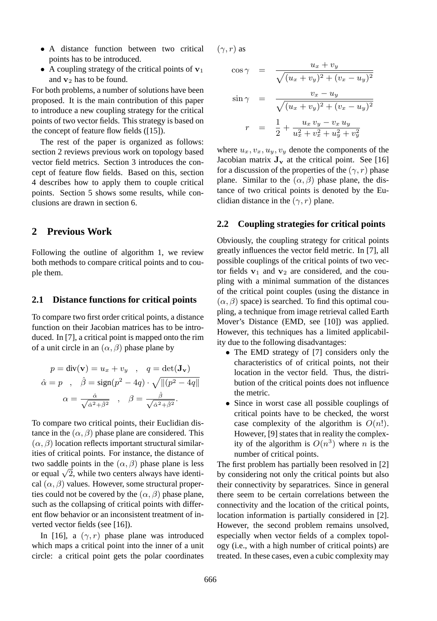- A distance function between two critical points has to be introduced.
- A coupling strategy of the critical points of **v**<sup>1</sup> and **v**<sup>2</sup> has to be found.

For both problems, a number of solutions have been proposed. It is the main contribution of this paper to introduce a new coupling strategy for the critical points of two vector fields. This strategy is based on the concept of feature flow fields ([15]).

The rest of the paper is organized as follows: section 2 reviews previous work on topology based vector field metrics. Section 3 introduces the concept of feature flow fields. Based on this, section 4 describes how to apply them to couple critical points. Section 5 shows some results, while conclusions are drawn in section 6.

### **2 Previous Work**

Following the outline of algorithm 1, we review both methods to compare critical points and to couple them.

#### **2.1 Distance functions for critical points**

To compare two first order critical points, a distance function on their Jacobian matrices has to be introduced. In [7], a critical point is mapped onto the rim of a unit circle in an  $(\alpha, \beta)$  phase plane by

$$
p = \text{div}(\mathbf{v}) = u_x + v_y \quad , \quad q = \text{det}(\mathbf{J}_\mathbf{v})
$$

$$
\hat{\alpha} = p \quad , \quad \hat{\beta} = \text{sign}(p^2 - 4q) \cdot \sqrt{\| (p^2 - 4q) \|}
$$

$$
\alpha = \frac{\hat{\alpha}}{\sqrt{\hat{\alpha}^2 + \hat{\beta}^2}} \quad , \quad \beta = \frac{\hat{\beta}}{\sqrt{\hat{\alpha}^2 + \hat{\beta}^2}}.
$$

To compare two critical points, their Euclidian distance in the  $(\alpha, \beta)$  phase plane are considered. This  $(\alpha, \beta)$  location reflects important structural similarities of critical points. For instance, the distance of two saddle points in the  $(\alpha, \beta)$  phase plane is less or equal  $\sqrt{2}$ , while two centers always have identical  $(\alpha, \beta)$  values. However, some structural properties could not be covered by the  $(\alpha, \beta)$  phase plane, such as the collapsing of critical points with different flow behavior or an inconsistent treatment of inverted vector fields (see [16]).

In [16], a  $(\gamma, r)$  phase plane was introduced which maps a critical point into the inner of a unit circle: a critical point gets the polar coordinates  $(\gamma, r)$  as

$$
\cos \gamma = \frac{u_x + v_y}{\sqrt{(u_x + v_y)^2 + (v_x - u_y)^2}}
$$

$$
\sin \gamma = \frac{v_x - u_y}{\sqrt{(u_x + v_y)^2 + (v_x - u_y)^2}}
$$
\n
$$
r = \frac{1}{2} + \frac{u_x v_y - v_x u_y}{u_x^2 + v_x^2 + u_y^2 + v_y^2}
$$

where  $u_x, v_x, u_y, v_y$  denote the components of the Jacobian matrix  $J_v$  at the critical point. See [16] for a discussion of the properties of the  $(\gamma, r)$  phase plane. Similar to the  $(\alpha, \beta)$  phase plane, the distance of two critical points is denoted by the Euclidian distance in the  $(\gamma, r)$  plane.

#### **2.2 Coupling strategies for critical points**

Obviously, the coupling strategy for critical points greatly influences the vector field metric. In [7], all possible couplings of the critical points of two vector fields  $v_1$  and  $v_2$  are considered, and the coupling with a minimal summation of the distances of the critical point couples (using the distance in  $(\alpha, \beta)$  space) is searched. To find this optimal coupling, a technique from image retrieval called Earth Mover's Distance (EMD, see [10]) was applied. However, this techniques has a limited applicability due to the following disadvantages:

- The EMD strategy of [7] considers only the characteristics of of critical points, not their location in the vector field. Thus, the distribution of the critical points does not influence the metric.
- Since in worst case all possible couplings of critical points have to be checked, the worst case complexity of the algorithm is  $O(n!)$ . However, [9] states that in reality the complexity of the algorithm is  $O(n^3)$  where *n* is the number of critical points.

The first problem has partially been resolved in [2] by considering not only the critical points but also their connectivity by separatrices. Since in general there seem to be certain correlations between the connectivity and the location of the critical points, location information is partially considered in [2]. However, the second problem remains unsolved, especially when vector fields of a complex topology (i.e., with a high number of critical points) are treated. In these cases, even a cubic complexity may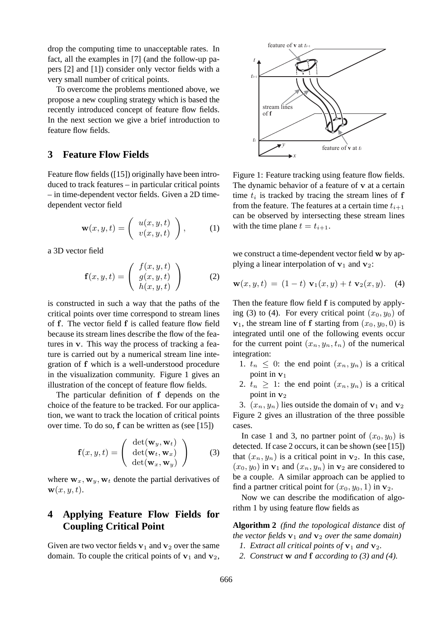drop the computing time to unacceptable rates. In fact, all the examples in [7] (and the follow-up papers [2] and [1]) consider only vector fields with a very small number of critical points.

To overcome the problems mentioned above, we propose a new coupling strategy which is based the recently introduced concept of feature flow fields. In the next section we give a brief introduction to feature flow fields.

### **3 Feature Flow Fields**

Feature flow fields ([15]) originally have been introduced to track features – in particular critical points – in time-dependent vector fields. Given a 2D timedependent vector field

$$
\mathbf{w}(x, y, t) = \begin{pmatrix} u(x, y, t) \\ v(x, y, t) \end{pmatrix}, \quad (1)
$$

a 3D vector field

$$
\mathbf{f}(x,y,t) = \left( \begin{array}{c} f(x,y,t) \\ g(x,y,t) \\ h(x,y,t) \end{array} \right) \tag{2}
$$

is constructed in such a way that the paths of the critical points over time correspond to stream lines of **f**. The vector field **f** is called feature flow field because its stream lines describe the flow of the features in **v**. This way the process of tracking a feature is carried out by a numerical stream line integration of **f** which is a well-understood procedure in the visualization community. Figure 1 gives an illustration of the concept of feature flow fields.

The particular definition of **f** depends on the choice of the feature to be tracked. For our application, we want to track the location of critical points over time. To do so, **f** can be written as (see [15])

$$
\mathbf{f}(x, y, t) = \begin{pmatrix} \det(\mathbf{w}_y, \mathbf{w}_t) \\ \det(\mathbf{w}_t, \mathbf{w}_x) \\ \det(\mathbf{w}_x, \mathbf{w}_y) \end{pmatrix}
$$
 (3)

where  $\mathbf{w}_x$ ,  $\mathbf{w}_y$ ,  $\mathbf{w}_t$  denote the partial derivatives of  $\mathbf{w}(x, y, t)$ .

## **4 Applying Feature Flow Fields for Coupling Critical Point**

Given are two vector fields  $v_1$  and  $v_2$  over the same domain. To couple the critical points of  $v_1$  and  $v_2$ ,



Figure 1: Feature tracking using feature flow fields. The dynamic behavior of a feature of **v** at a certain time  $t_i$  is tracked by tracing the stream lines of  $f$ from the feature. The features at a certain time  $t_{i+1}$ can be observed by intersecting these stream lines with the time plane  $t = t_{i+1}$ .

we construct a time-dependent vector field **w** by applying a linear interpolation of  $v_1$  and  $v_2$ :

$$
\mathbf{w}(x, y, t) = (1 - t) \mathbf{v}_1(x, y) + t \mathbf{v}_2(x, y). \quad (4)
$$

Then the feature flow field **f** is computed by applying (3) to (4). For every critical point  $(x_0, y_0)$  of  $\mathbf{v}_1$ , the stream line of **f** starting from  $(x_0, y_0, 0)$  is integrated until one of the following events occur for the current point  $(x_n, y_n, t_n)$  of the numerical integration:

- 1.  $t_n \leq 0$ : the end point  $(x_n, y_n)$  is a critical point in **v**<sup>1</sup>
- 2.  $t_n \geq 1$ : the end point  $(x_n, y_n)$  is a critical point in  $v_2$

3.  $(x_n, y_n)$  lies outside the domain of  $v_1$  and  $v_2$ Figure 2 gives an illustration of the three possible cases.

In case 1 and 3, no partner point of  $(x_0, y_0)$  is detected. If case 2 occurs, it can be shown (see [15]) that  $(x_n, y_n)$  is a critical point in  $\mathbf{v}_2$ . In this case,  $(x_0, y_0)$  in  $\mathbf{v}_1$  and  $(x_n, y_n)$  in  $\mathbf{v}_2$  are considered to be a couple. A similar approach can be applied to find a partner critical point for  $(x_0, y_0, 1)$  in  $\mathbf{v}_2$ .

Now we can describe the modification of algorithm 1 by using feature flow fields as

**Algorithm 2** *(find the topological distance* dist *of the vector fields*  $\mathbf{v}_1$  *and*  $\mathbf{v}_2$  *over the same domain*)

- *1.* Extract all critical points of  $v_1$  and  $v_2$ .
- *2. Construct* **w** *and* **f** *according to (3) and (4).*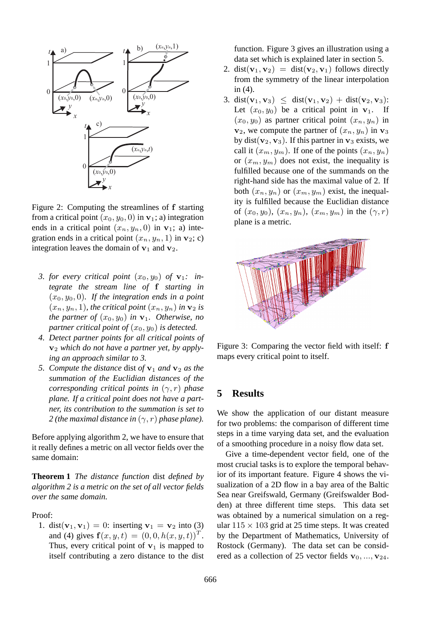

Figure 2: Computing the streamlines of **f** starting from a critical point  $(x_0, y_0, 0)$  in  $\mathbf{v}_1$ ; a) integration ends in a critical point  $(x_n, y_n, 0)$  in  $\mathbf{v}_1$ ; a) integration ends in a critical point  $(x_n, y_n, 1)$  in **v**<sub>2</sub>; c) integration leaves the domain of  $v_1$  and  $v_2$ .

- *3. for every critical point*  $(x_0, y_0)$  *of*  $\mathbf{v}_1$ *: integrate the stream line of* **f** *starting in*  $(x_0, y_0, 0)$ *. If the integration ends in a point*  $(x_n, y_n, 1)$ *, the critical point*  $(x_n, y_n)$  *in*  $\mathbf{v}_2$  *is the partner of*  $(x_0, y_0)$  *in*  $\mathbf{v}_1$ *. Otherwise, no partner critical point of*  $(x_0, y_0)$  *is detected.*
- *4. Detect partner points for all critical points of* **v**<sup>2</sup> *which do not have a partner yet, by applying an approach similar to 3.*
- *5. Compute the distance* dist *of* **v**<sup>1</sup> *and* **v**<sup>2</sup> *as the summation of the Euclidian distances of the corresponding critical points in* (γ,r) *phase plane. If a critical point does not have a partner, its contribution to the summation is set to 2* (the maximal distance in  $(\gamma, r)$  phase plane).

Before applying algorithm 2, we have to ensure that it really defines a metric on all vector fields over the same domain:

**Theorem 1** *The distance function* dist *defined by algorithm 2 is a metric on the set of all vector fields over the same domain.*

Proof:

1. dist( $v_1, v_1$ ) = 0: inserting  $v_1 = v_2$  into (3) and (4) gives  $f(x, y, t) = (0, 0, h(x, y, t))^T$ . Thus, every critical point of  $v_1$  is mapped to itself contributing a zero distance to the dist function. Figure 3 gives an illustration using a data set which is explained later in section 5.

- 2. dist( $\mathbf{v}_1, \mathbf{v}_2$ ) = dist( $\mathbf{v}_2, \mathbf{v}_1$ ) follows directly from the symmetry of the linear interpolation in (4).
- 3. dist(**v**<sub>1</sub>, **v**<sub>3</sub>)  $\leq$  dist(**v**<sub>1</sub>, **v**<sub>2</sub>) + dist(**v**<sub>2</sub>, **v**<sub>3</sub>): Let  $(x_0, y_0)$  be a critical point in  $v_1$ . If  $(x_0, y_0)$  as partner critical point  $(x_n, y_n)$  in  $\mathbf{v}_2$ , we compute the partner of  $(x_n, y_n)$  in  $\mathbf{v}_3$ by dist( $\mathbf{v}_2$ ,  $\mathbf{v}_3$ ). If this partner in  $\mathbf{v}_3$  exists, we call it  $(x_m, y_m)$ . If one of the points  $(x_n, y_n)$ or  $(x_m, y_m)$  does not exist, the inequality is fulfilled because one of the summands on the right-hand side has the maximal value of 2. If both  $(x_n, y_n)$  or  $(x_m, y_m)$  exist, the inequality is fulfilled because the Euclidian distance of  $(x_0, y_0), (x_n, y_n), (x_m, y_m)$  in the  $(\gamma, r)$ plane is a metric.



Figure 3: Comparing the vector field with itself: **f** maps every critical point to itself.

#### **5 Results**

We show the application of our distant measure for two problems: the comparison of different time steps in a time varying data set, and the evaluation of a smoothing procedure in a noisy flow data set.

Give a time-dependent vector field, one of the most crucial tasks is to explore the temporal behavior of its important feature. Figure 4 shows the visualization of a 2D flow in a bay area of the Baltic Sea near Greifswald, Germany (Greifswalder Bodden) at three different time steps. This data set was obtained by a numerical simulation on a regular  $115 \times 103$  grid at 25 time steps. It was created by the Department of Mathematics, University of Rostock (Germany). The data set can be considered as a collection of 25 vector fields **<sup>v</sup>**<sup>0</sup>, ..., **<sup>v</sup>**24.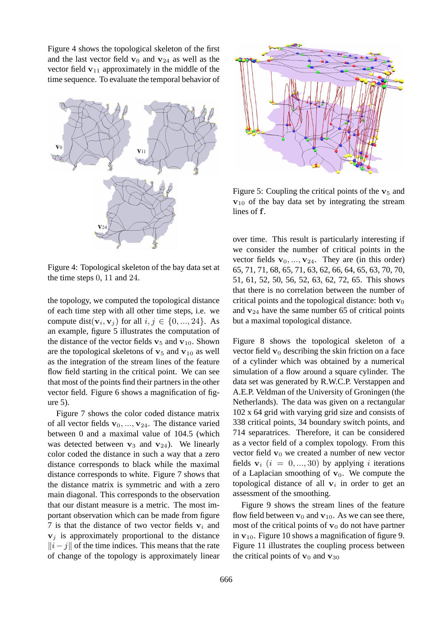Figure 4 shows the topological skeleton of the first and the last vector field  $\mathbf{v}_0$  and  $\mathbf{v}_{24}$  as well as the vector field  $v_{11}$  approximately in the middle of the time sequence. To evaluate the temporal behavior of



Figure 4: Topological skeleton of the bay data set at the time steps 0, 11 and 24.

the topology, we computed the topological distance of each time step with all other time steps, i.e. we compute dist( $\mathbf{v}_i, \mathbf{v}_j$ ) for all  $i, j \in \{0, ..., 24\}$ . As an example, figure 5 illustrates the computation of the distance of the vector fields  $v_5$  and  $v_{10}$ . Shown are the topological skeletons of  $v_5$  and  $v_{10}$  as well as the integration of the stream lines of the feature flow field starting in the critical point. We can see that most of the points find their partners in the other vector field. Figure 6 shows a magnification of figure 5).

Figure 7 shows the color coded distance matrix of all vector fields  $\mathbf{v}_0, \ldots, \mathbf{v}_{24}$ . The distance varied between 0 and a maximal value of 104.5 (which was detected between  $v_3$  and  $v_{24}$ ). We linearly color coded the distance in such a way that a zero distance corresponds to black while the maximal distance corresponds to white. Figure 7 shows that the distance matrix is symmetric and with a zero main diagonal. This corresponds to the observation that our distant measure is a metric. The most important observation which can be made from figure 7 is that the distance of two vector fields  $v_i$  and  $v_i$  is approximately proportional to the distance  $||i-j||$  of the time indices. This means that the rate<br>of change of the topology is approximately linear of change of the topology is approximately linear



Figure 5: Coupling the critical points of the  $v_5$  and **v**<sup>10</sup> of the bay data set by integrating the stream lines of **f**.

over time. This result is particularly interesting if we consider the number of critical points in the vector fields  $\mathbf{v}_0, ..., \mathbf{v}_{24}$ . They are (in this order) 65, 71, 71, 68, 65, 71, 63, 62, 66, 64, 65, 63, 70, 70, 51, 61, 52, 50, 56, 52, 63, 62, 72, 65. This shows that there is no correlation between the number of critical points and the topological distance: both  $\mathbf{v}_0$ and  $v_{24}$  have the same number 65 of critical points but a maximal topological distance.

Figure 8 shows the topological skeleton of a vector field  $\mathbf{v}_0$  describing the skin friction on a face of a cylinder which was obtained by a numerical simulation of a flow around a square cylinder. The data set was generated by R.W.C.P. Verstappen and A.E.P. Veldman of the University of Groningen (the Netherlands). The data was given on a rectangular 102 x 64 grid with varying grid size and consists of 338 critical points, 34 boundary switch points, and 714 separatrices. Therefore, it can be considered as a vector field of a complex topology. From this vector field  $\mathbf{v}_0$  we created a number of new vector fields  $\mathbf{v}_i$  ( $i = 0, ..., 30$ ) by applying i iterations of a Laplacian smoothing of  $v_0$ . We compute the topological distance of all  $v_i$  in order to get an assessment of the smoothing.

Figure 9 shows the stream lines of the feature flow field between  $\mathbf{v}_0$  and  $\mathbf{v}_{10}$ . As we can see there, most of the critical points of  $\mathbf{v}_0$  do not have partner in  $v_{10}$ . Figure 10 shows a magnification of figure 9. Figure 11 illustrates the coupling process between the critical points of  $\mathbf{v}_0$  and  $\mathbf{v}_{30}$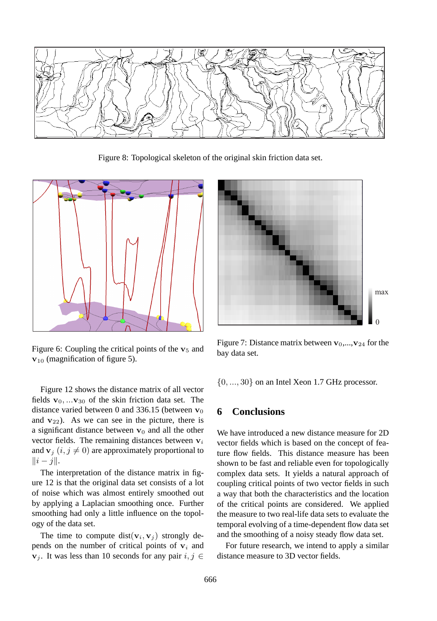

Figure 8: Topological skeleton of the original skin friction data set.



Figure 6: Coupling the critical points of the  $v_5$  and **v**<sup>10</sup> (magnification of figure 5).

Figure 12 shows the distance matrix of all vector fields  $\mathbf{v}_0$ , ... $\mathbf{v}_{30}$  of the skin friction data set. The distance varied between 0 and 336.15 (between  $\mathbf{v}_0$ ) and  $v_{22}$ ). As we can see in the picture, there is a significant distance between **v**<sup>0</sup> and all the other vector fields. The remaining distances between  $v_i$ and  $\mathbf{v}_i$  (*i*, *j*  $\neq$  0) are approximately proportional to  $\|i-j\|.$ 

The interpretation of the distance matrix in figure 12 is that the original data set consists of a lot of noise which was almost entirely smoothed out by applying a Laplacian smoothing once. Further smoothing had only a little influence on the topology of the data set.

The time to compute dist( $v_i$ ,  $v_j$ ) strongly depends on the number of critical points of  $v_i$  and **v**<sub>j</sub>. It was less than 10 seconds for any pair  $i, j \in$ 



Figure 7: Distance matrix between  $\mathbf{v}_0$ ,..., $\mathbf{v}_{24}$  for the bay data set.

 $\{0, ..., 30\}$  on an Intel Xeon 1.7 GHz processor.

### **6 Conclusions**

We have introduced a new distance measure for 2D vector fields which is based on the concept of feature flow fields. This distance measure has been shown to be fast and reliable even for topologically complex data sets. It yields a natural approach of coupling critical points of two vector fields in such a way that both the characteristics and the location of the critical points are considered. We applied the measure to two real-life data sets to evaluate the temporal evolving of a time-dependent flow data set and the smoothing of a noisy steady flow data set.

For future research, we intend to apply a similar distance measure to 3D vector fields.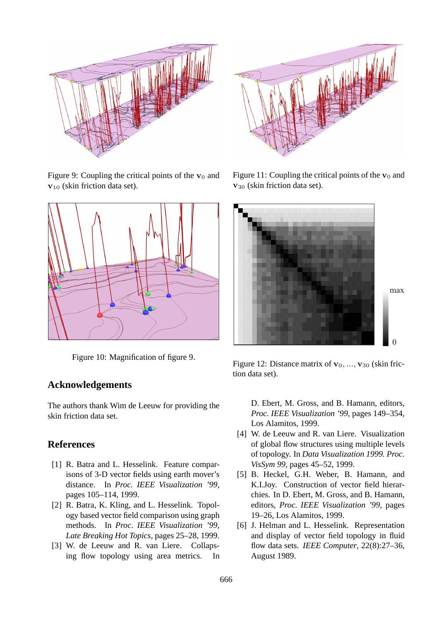

Figure 9: Coupling the critical points of the  $\mathbf{v}_0$  and **v**<sup>10</sup> (skin friction data set).



Figure 10: Magnification of figure 9.

### **Acknowledgements**

The authors thank Wim de Leeuw for providing the skin friction data set.

#### **References**

- [1] R. Batra and L. Hesselink. Feature comparisons of 3-D vector fields using earth mover's distance. In *Proc. IEEE Visualization '99*, pages 105–114, 1999.
- [2] R. Batra, K. Kling, and L. Hesselink. Topology based vector field comparison using graph methods. In *Proc. IEEE Visualization '99, Late Breaking Hot Topics*, pages 25–28, 1999.
- [3] W. de Leeuw and R. van Liere. Collapsing flow topology using area metrics. In



Figure 11: Coupling the critical points of the  $v_0$  and **v**<sup>30</sup> (skin friction data set).



Figure 12: Distance matrix of  $\mathbf{v}_0, \dots, \mathbf{v}_{30}$  (skin friction data set).

D. Ebert, M. Gross, and B. Hamann, editors, *Proc. IEEE Visualization '99*, pages 149–354, Los Alamitos, 1999.

- [4] W. de Leeuw and R. van Liere. Visualization of global flow structures using multiple levels of topology. In *Data Visualization 1999. Proc. VisSym 99*, pages 45–52, 1999.
- [5] B. Heckel, G.H. Weber, B. Hamann, and K.I.Joy. Construction of vector field hierarchies. In D. Ebert, M. Gross, and B. Hamann, editors, *Proc. IEEE Visualization '99*, pages 19–26, Los Alamitos, 1999.
- [6] J. Helman and L. Hesselink. Representation and display of vector field topology in fluid flow data sets. *IEEE Computer*, 22(8):27–36, August 1989.